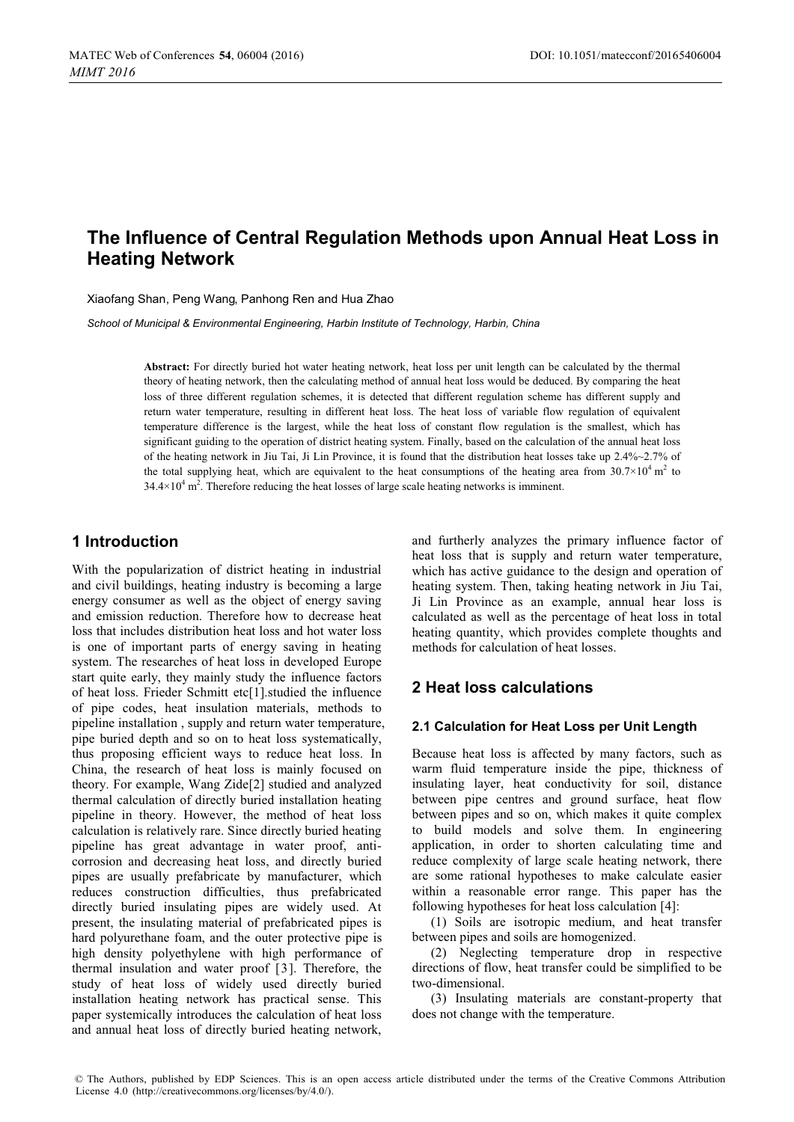# **The Influence of Central Regulation Methods upon Annual Heat Loss in Heating Network**

Xiaofang Shan, Peng Wang, Panhong Ren and Hua Zhao

*School of Municipal & Environmental Engineering, Harbin Institute of Technology, Harbin, China* 

**Abstract:** For directly buried hot water heating network, heat loss per unit length can be calculated by the thermal theory of heating network, then the calculating method of annual heat loss would be deduced. By comparing the heat loss of three different regulation schemes, it is detected that different regulation scheme has different supply and return water temperature, resulting in different heat loss. The heat loss of variable flow regulation of equivalent temperature difference is the largest, while the heat loss of constant flow regulation is the smallest, which has significant guiding to the operation of district heating system. Finally, based on the calculation of the annual heat loss of the heating network in Jiu Tai, Ji Lin Province, it is found that the distribution heat losses take up 2.4%~2.7% of the total supplying heat, which are equivalent to the heat consumptions of the heating area from  $30.7\times10^4$  m<sup>2</sup> to  $34.4 \times 10^4$  m<sup>2</sup>. Therefore reducing the heat losses of large scale heating networks is imminent.

### **1 Introduction**

With the popularization of district heating in industrial and civil buildings, heating industry is becoming a large energy consumer as well as the object of energy saving and emission reduction. Therefore how to decrease heat loss that includes distribution heat loss and hot water loss is one of important parts of energy saving in heating system. The researches of heat loss in developed Europe start quite early, they mainly study the influence factors of heat loss. Frieder Schmitt etc[1].studied the influence of pipe codes, heat insulation materials, methods to pipeline installation , supply and return water temperature, pipe buried depth and so on to heat loss systematically, thus proposing efficient ways to reduce heat loss. In China, the research of heat loss is mainly focused on theory. For example, Wang Zide[2] studied and analyzed thermal calculation of directly buried installation heating pipeline in theory. However, the method of heat loss calculation is relatively rare. Since directly buried heating pipeline has great advantage in water proof, anticorrosion and decreasing heat loss, and directly buried pipes are usually prefabricate by manufacturer, which reduces construction difficulties, thus prefabricated directly buried insulating pipes are widely used. At present, the insulating material of prefabricated pipes is hard polyurethane foam, and the outer protective pipe is high density polyethylene with high performance of thermal insulation and water proof [3]. Therefore, the study of heat loss of widely used directly buried installation heating network has practical sense. This paper systemically introduces the calculation of heat loss and annual heat loss of directly buried heating network,

and furtherly analyzes the primary influence factor of heat loss that is supply and return water temperature, which has active guidance to the design and operation of heating system. Then, taking heating network in Jiu Tai, Ji Lin Province as an example, annual hear loss is calculated as well as the percentage of heat loss in total heating quantity, which provides complete thoughts and methods for calculation of heat losses.

# **2 Heat loss calculations**

### **2.1 Calculation for Heat Loss per Unit Length**

Because heat loss is affected by many factors, such as warm fluid temperature inside the pipe, thickness of insulating layer, heat conductivity for soil, distance between pipe centres and ground surface, heat flow between pipes and so on, which makes it quite complex to build models and solve them. In engineering application, in order to shorten calculating time and reduce complexity of large scale heating network, there are some rational hypotheses to make calculate easier within a reasonable error range. This paper has the following hypotheses for heat loss calculation [4]:

(1) Soils are isotropic medium, and heat transfer between pipes and soils are homogenized.

(2) Neglecting temperature drop in respective directions of flow, heat transfer could be simplified to be two-dimensional.

(3) Insulating materials are constant-property that does not change with the temperature.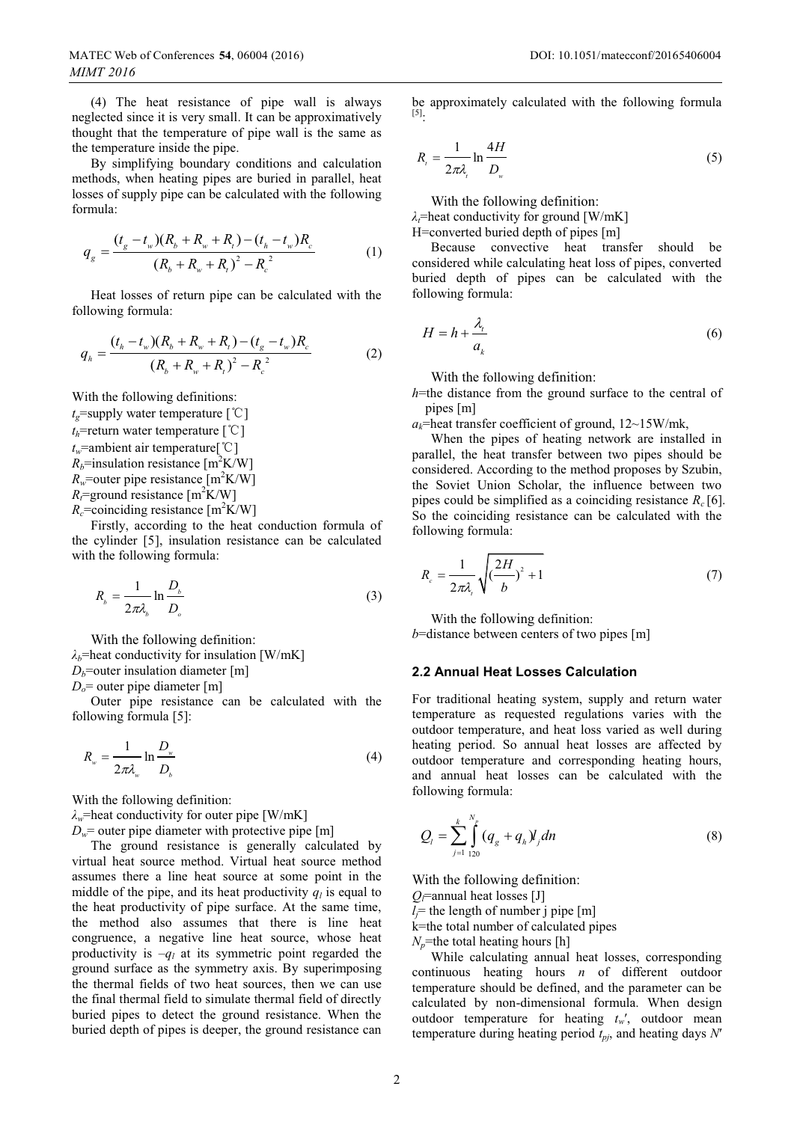(4) The heat resistance of pipe wall is always neglected since it is very small. It can be approximatively thought that the temperature of pipe wall is the same as the temperature inside the pipe.

By simplifying boundary conditions and calculation methods, when heating pipes are buried in parallel, heat losses of supply pipe can be calculated with the following formula:

$$
q_{g} = \frac{(t_{g} - t_{w})(R_{b} + R_{w} + R_{t}) - (t_{h} - t_{w})R_{c}}{(R_{b} + R_{w} + R_{t})^{2} - R_{c}^{2}}
$$
(1)

Heat losses of return pipe can be calculated with the following formula:

$$
q_{h} = \frac{(t_{h} - t_{w})(R_{b} + R_{w} + R_{t}) - (t_{g} - t_{w})R_{c}}{(R_{b} + R_{w} + R_{t})^{2} - R_{c}^{2}}
$$
(2)

With the following definitions:  $t_e$ =supply water temperature  $\lceil \, {}^{\circ}\!C \, \rceil$  $t_h$ =return water temperature  $\lceil \degree C \rceil$  $t_w$ =ambient air temperature<sup>[°</sup>C<sup>]</sup>  $R_b$ =insulation resistance [m<sup>2</sup>K/W]  $R_w$ =outer pipe resistance [m<sup>2</sup>K/W]  $R_t$ =ground resistance [m<sup>2</sup>K/W]

 $R_c$ =coinciding resistance [m<sup>2</sup>K/W]

Firstly, according to the heat conduction formula of the cylinder [5], insulation resistance can be calculated with the following formula:

$$
R_{b} = \frac{1}{2\pi\lambda_{b}} \ln \frac{D_{b}}{D_{o}}
$$
 (3)

With the following definition:

 $\lambda_b$ =heat conductivity for insulation [W/mK]

 $D_b$ =outer insulation diameter [m]

 $D<sub>o</sub>$  = outer pipe diameter [m]

Outer pipe resistance can be calculated with the following formula [5]:

$$
R_{w} = \frac{1}{2\pi\lambda_{w}} \ln \frac{D_{w}}{D_{b}}
$$
 (4)

With the following definition:

*λw*=heat conductivity for outer pipe [W/mK]

 $D_w$ = outer pipe diameter with protective pipe [m]

The ground resistance is generally calculated by virtual heat source method. Virtual heat source method assumes there a line heat source at some point in the middle of the pipe, and its heat productivity  $q_l$  is equal to the heat productivity of pipe surface. At the same time, the method also assumes that there is line heat congruence, a negative line heat source, whose heat productivity is  $-q_l$  at its symmetric point regarded the ground surface as the symmetry axis. By superimposing the thermal fields of two heat sources, then we can use the final thermal field to simulate thermal field of directly buried pipes to detect the ground resistance. When the buried depth of pipes is deeper, the ground resistance can be approximately calculated with the following formula [5]:

$$
R_{i} = \frac{1}{2\pi\lambda_{i}} \ln \frac{4H}{D_{w}}
$$
 (5)

With the following definition:

*λ*=heat conductivity for ground [W/mK]

H=converted buried depth of pipes [m]

Because convective heat transfer should be considered while calculating heat loss of pipes, converted buried depth of pipes can be calculated with the following formula:

$$
H = h + \frac{\lambda_i}{a_k} \tag{6}
$$

With the following definition:

*h*=the distance from the ground surface to the central of pipes [m]

 $a_k$ =heat transfer coefficient of ground,  $12 \sim 15$ W/mk,

When the pipes of heating network are installed in parallel, the heat transfer between two pipes should be considered. According to the method proposes by Szubin, the Soviet Union Scholar, the influence between two pipes could be simplified as a coinciding resistance  $R_c$  [6]. So the coinciding resistance can be calculated with the following formula:

$$
R_c = \frac{1}{2\pi\lambda_i} \sqrt{\left(\frac{2H}{b}\right)^2 + 1} \tag{7}
$$

With the following definition:

*b*=distance between centers of two pipes [m]

### **2.2 Annual Heat Losses Calculation**

For traditional heating system, supply and return water temperature as requested regulations varies with the outdoor temperature, and heat loss varied as well during heating period. So annual heat losses are affected by outdoor temperature and corresponding heating hours, and annual heat losses can be calculated with the following formula:

$$
Q_{l} = \sum_{j=1}^{k} \int_{120}^{N_p} (q_g + q_h) l_j dn
$$
 (8)

With the following definition:

 $Q$ =annual heat losses [J]

 $l_j$ = the length of number j pipe [m]

k=the total number of calculated pipes

 $N_p$ =the total heating hours [h]

While calculating annual heat losses, corresponding continuous heating hours *n* of different outdoor temperature should be defined, and the parameter can be calculated by non-dimensional formula. When design outdoor temperature for heating  $t_w$ , outdoor mean temperature during heating period  $t_{pi}$ , and heating days *N'*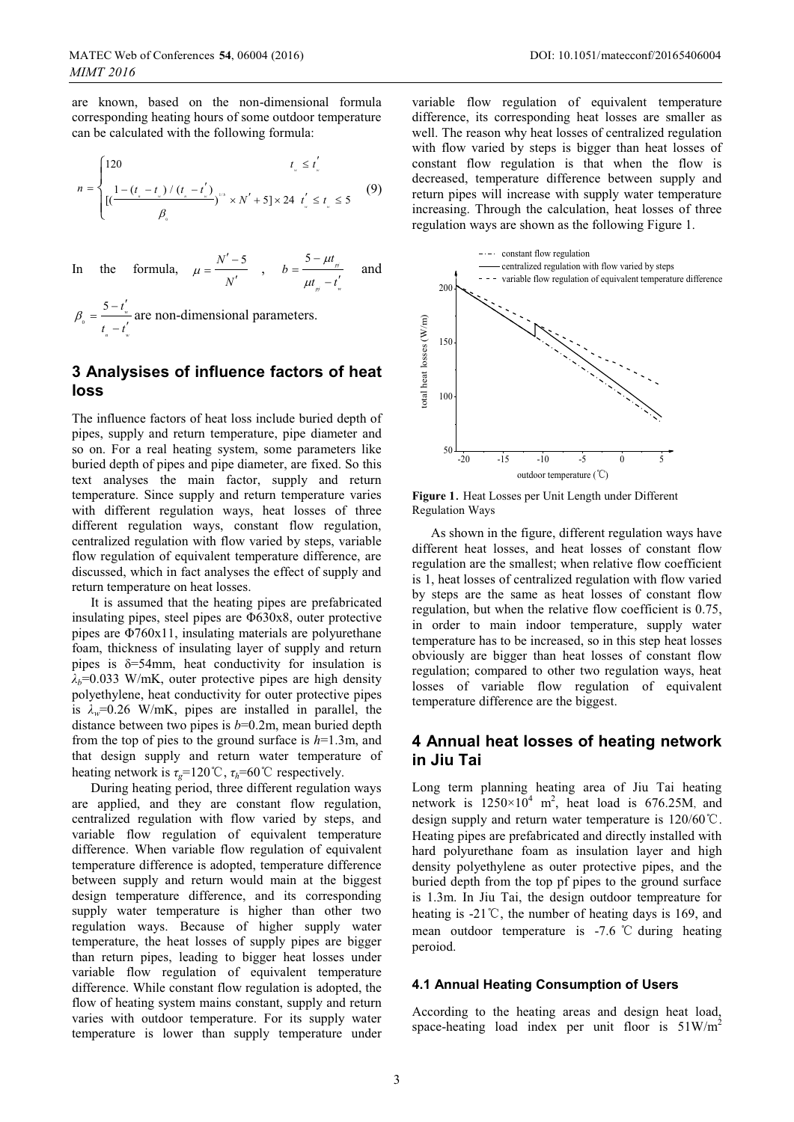are known, based on the non-dimensional formula corresponding heating hours of some outdoor temperature can be calculated with the following formula:

$$
n = \begin{cases} 120 & t_{\text{w}} \le t_{\text{w}}' \\ \frac{1 - (t_{\text{w}} - t_{\text{w}}') / (t_{\text{w}} - t_{\text{w}}')}{\beta_{\text{w}}} \times N' + 5 \times 24 & t_{\text{w}}' \le t_{\text{w}} \le 5 \end{cases}
$$
(9)

In the formula, 
$$
\mu = \frac{N' - 5}{N'}
$$
,  $b = \frac{5 - \mu t_{m}}{\mu t_{m} - t'_{w}}$  and  
 $\beta_{0} = \frac{5 - t'_{w}}{t_{m} - t'_{w}}$  are non-dimensional parameters.

### **3 Analysises of influence factors of heat loss**

The influence factors of heat loss include buried depth of pipes, supply and return temperature, pipe diameter and so on. For a real heating system, some parameters like buried depth of pipes and pipe diameter, are fixed. So this text analyses the main factor, supply and return temperature. Since supply and return temperature varies with different regulation ways, heat losses of three different regulation ways, constant flow regulation, centralized regulation with flow varied by steps, variable flow regulation of equivalent temperature difference, are discussed, which in fact analyses the effect of supply and return temperature on heat losses.

It is assumed that the heating pipes are prefabricated insulating pipes, steel pipes are Φ630x8, outer protective pipes are Φ760x11, insulating materials are polyurethane foam, thickness of insulating layer of supply and return pipes is  $\delta = 54$ mm, heat conductivity for insulation is  $\lambda_b$ =0.033 W/mK, outer protective pipes are high density polyethylene, heat conductivity for outer protective pipes is  $\lambda_w$ =0.26 W/mK, pipes are installed in parallel, the distance between two pipes is *b*=0.2m, mean buried depth from the top of pies to the ground surface is *h*=1.3m, and that design supply and return water temperature of heating network is  $\tau_g$ =120°C,  $\tau_h$ =60°C respectively.

During heating period, three different regulation ways are applied, and they are constant flow regulation, centralized regulation with flow varied by steps, and variable flow regulation of equivalent temperature difference. When variable flow regulation of equivalent temperature difference is adopted, temperature difference between supply and return would main at the biggest design temperature difference, and its corresponding supply water temperature is higher than other two regulation ways. Because of higher supply water temperature, the heat losses of supply pipes are bigger than return pipes, leading to bigger heat losses under variable flow regulation of equivalent temperature difference. While constant flow regulation is adopted, the flow of heating system mains constant, supply and return varies with outdoor temperature. For its supply water temperature is lower than supply temperature under

variable flow regulation of equivalent temperature difference, its corresponding heat losses are smaller as well. The reason why heat losses of centralized regulation with flow varied by steps is bigger than heat losses of constant flow regulation is that when the flow is decreased, temperature difference between supply and return pipes will increase with supply water temperature increasing. Through the calculation, heat losses of three regulation ways are shown as the following Figure 1.



**Figure 1**. Heat Losses per Unit Length under Different Regulation Ways

As shown in the figure, different regulation ways have different heat losses, and heat losses of constant flow regulation are the smallest; when relative flow coefficient is 1, heat losses of centralized regulation with flow varied by steps are the same as heat losses of constant flow regulation, but when the relative flow coefficient is 0.75, in order to main indoor temperature, supply water temperature has to be increased, so in this step heat losses obviously are bigger than heat losses of constant flow regulation; compared to other two regulation ways, heat losses of variable flow regulation of equivalent temperature difference are the biggest.

# **4 Annual heat losses of heating network in Jiu Tai**

Long term planning heating area of Jiu Tai heating network is  $1250 \times 10^4$  m<sup>2</sup>, heat load is 676.25M, and design supply and return water temperature is  $120/60^{\circ}$ C. Heating pipes are prefabricated and directly installed with hard polyurethane foam as insulation layer and high density polyethylene as outer protective pipes, and the buried depth from the top pf pipes to the ground surface is 1.3m. In Jiu Tai, the design outdoor tempreature for heating is  $-21^{\circ}$ C, the number of heating days is 169, and mean outdoor temperature is  $-7.6$  °C during heating peroiod.

### **4.1 Annual Heating Consumption of Users**

According to the heating areas and design heat load, space-heating load index per unit floor is  $51 \text{W/m}^2$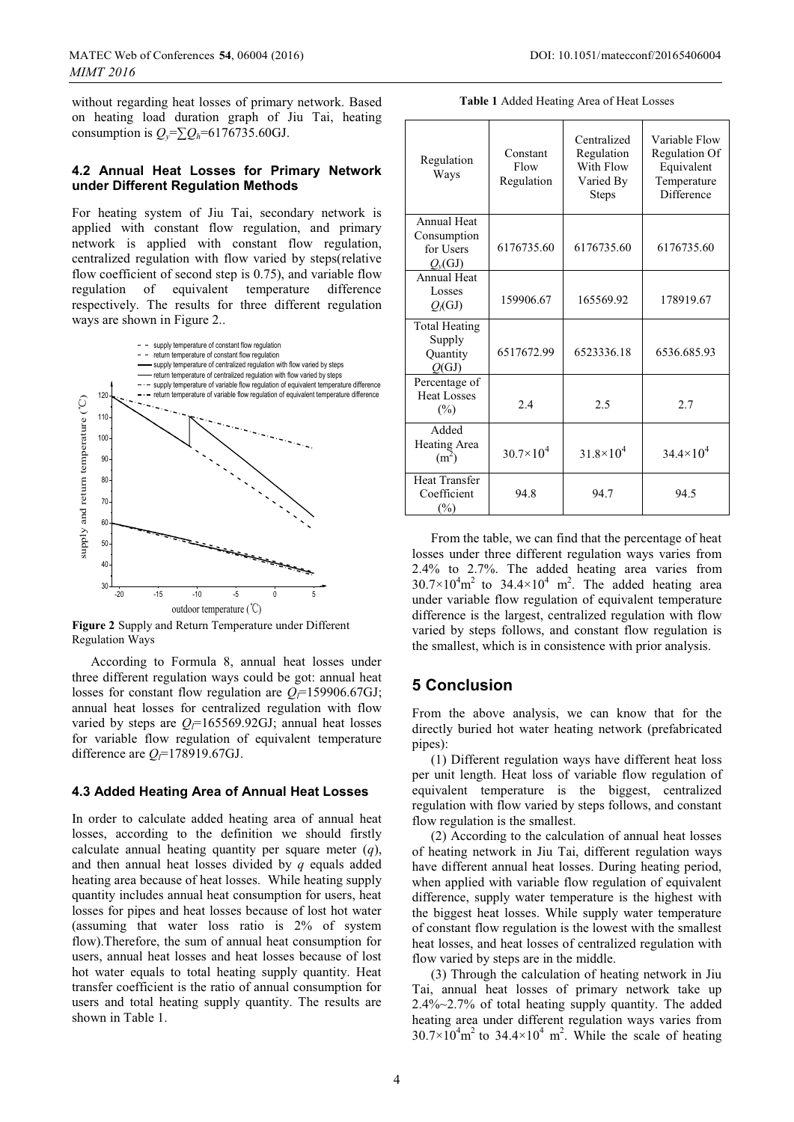without regarding heat losses of primary network. Based on heating load duration graph of Jiu Tai, heating consumption is  $Q_v = \sum Q_h = 6176735.60 \text{GJ}.$ 

### **4.2 Annual Heat Losses for Primary Network under Different Regulation Methods**

For heating system of Jiu Tai, secondary network is applied with constant flow regulation, and primary network is applied with constant flow regulation, centralized regulation with flow varied by steps(relative flow coefficient of second step is 0.75), and variable flow regulation of equivalent temperature difference respectively. The results for three different regulation ways are shown in Figure 2..



**Figure 2** Supply and Return Temperature under Different Regulation Ways

According to Formula 8, annual heat losses under three different regulation ways could be got: annual heat losses for constant flow regulation are  $Q$ <sup>=159906.67GJ;</sup> annual heat losses for centralized regulation with flow varied by steps are  $Q_f$ =165569.92GJ; annual heat losses for variable flow regulation of equivalent temperature difference are  $Q_{\overline{r}}$ =178919.67GJ.

### **4.3 Added Heating Area of Annual Heat Losses**

In order to calculate added heating area of annual heat losses, according to the definition we should firstly calculate annual heating quantity per square meter (*q*), and then annual heat losses divided by *q* equals added heating area because of heat losses. While heating supply quantity includes annual heat consumption for users, heat losses for pipes and heat losses because of lost hot water (assuming that water loss ratio is 2% of system flow).Therefore, the sum of annual heat consumption for users, annual heat losses and heat losses because of lost hot water equals to total heating supply quantity. Heat transfer coefficient is the ratio of annual consumption for users and total heating supply quantity. The results are shown in Table 1.

**Table 1** Added Heating Area of Heat Losses

| Regulation<br>Ways                                              | Constant<br>Flow<br>Regulation | Centralized<br>Regulation<br>With Flow<br>Varied By<br><b>Steps</b> | Variable Flow<br>Regulation Of<br>Equivalent<br>Temperature<br>Difference |
|-----------------------------------------------------------------|--------------------------------|---------------------------------------------------------------------|---------------------------------------------------------------------------|
| <b>Annual Heat</b><br>Consumption<br>for Users<br>$Q_{\nu}(GJ)$ | 6176735.60                     | 6176735.60                                                          | 6176735.60                                                                |
| Annual Heat<br>Losses<br>$Q_l(GJ)$                              | 159906.67                      | 165569.92                                                           | 178919.67                                                                 |
| <b>Total Heating</b><br>Supply<br>Quantity<br>Q(GJ)             | 6517672.99                     | 6523336.18                                                          | 6536.685.93                                                               |
| Percentage of<br><b>Heat Losses</b><br>$(\%)$                   | 2.4                            | 2.5                                                                 | 2.7                                                                       |
| Added<br>Heating Area<br>(m <sup>2</sup> )                      | $30.7 \times 10^{4}$           | $31.8\times10^{4}$                                                  | $34.4\times10^{4}$                                                        |
| <b>Heat Transfer</b><br>Coefficient<br>$(\%)$                   | 94.8                           | 94.7                                                                | 94.5                                                                      |

From the table, we can find that the percentage of heat losses under three different regulation ways varies from 2.4% to 2.7%. The added heating area varies from  $30.7 \times 10^4$  m<sup>2</sup> to  $34.4 \times 10^4$  m<sup>2</sup>. The added heating area under variable flow regulation of equivalent temperature difference is the largest, centralized regulation with flow varied by steps follows, and constant flow regulation is the smallest, which is in consistence with prior analysis.

# **5 Conclusion**

From the above analysis, we can know that for the directly buried hot water heating network (prefabricated pipes):

(1) Different regulation ways have different heat loss per unit length. Heat loss of variable flow regulation of equivalent temperature is the biggest, centralized regulation with flow varied by steps follows, and constant flow regulation is the smallest.

(2) According to the calculation of annual heat losses of heating network in Jiu Tai, different regulation ways have different annual heat losses. During heating period, when applied with variable flow regulation of equivalent difference, supply water temperature is the highest with the biggest heat losses. While supply water temperature of constant flow regulation is the lowest with the smallest heat losses, and heat losses of centralized regulation with flow varied by steps are in the middle.

(3) Through the calculation of heating network in Jiu Tai, annual heat losses of primary network take up 2.4%~2.7% of total heating supply quantity. The added heating area under different regulation ways varies from  $30.7 \times 10^4$  m<sup>2</sup> to  $34.4 \times 10^4$  m<sup>2</sup>. While the scale of heating